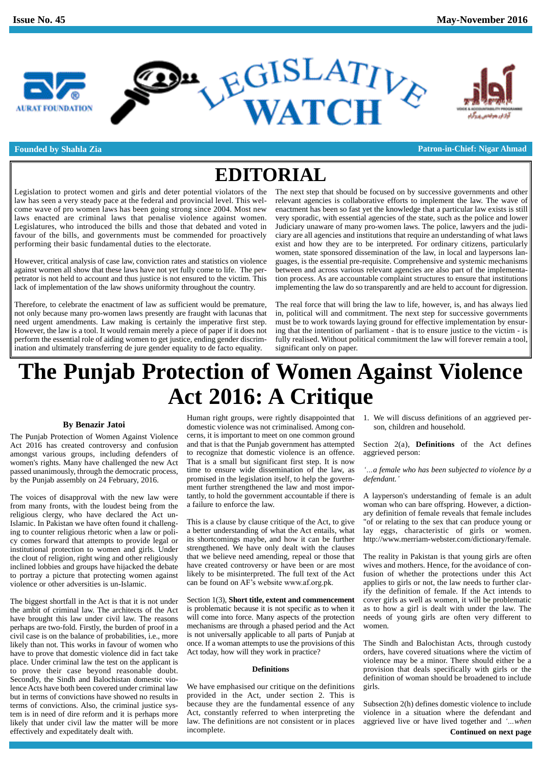

D" LEGISLATIVE



**Founded by Shahla Zia Patron-in-Chief: Nigar Ahmad**

### **EDITORIAL**

Legislation to protect women and girls and deter potential violators of the law has seen a very steady pace at the federal and provincial level. This wel come wave of pro women laws has been going strong since 2004. Most new laws enacted are criminal laws that penalise violence against women. Legislatures, who introduced the bills and those that debated and voted in favour of the bills, and governments must be commended for proactively performing their basic fundamental duties to the electorate.

However, critical analysis of case law, conviction rates and statistics on violence against women all show that these laws have not yet fully come to life. The perpetrator is not held to account and thus justice is not ensured to the victim. This lack of implementation of the law shows uniformity throughout the country.

Therefore, to celebrate the enactment of law as sufficient would be premature, not only because many pro-women laws presently are fraught with lacunas that need urgent amendments. Law making is certainly the imperative first step. However, the law is a tool. It would remain merely a piece of paper if it does not perform the essential role of aiding women to get justice, ending gender discrimination and ultimately transferring de jure gender equality to de facto equality.

The next step that should be focused on by successive governments and other relevant agencies is collaborative efforts to implement the law. The wave of enactment has been so fast yet the knowledge that a particular law exists is still very sporadic, with essential agencies of the state, such as the police and lower Judiciary unaware of many pro-women laws. The police, lawyers and the judi ciary are allagencies and institutions that require an understanding of what laws exist and how they are to be interpreted. For ordinary citizens, particularly women, state sponsored dissemination of the law, in local and laypersons languages, is the essential pre-requisite. Comprehensive and systemic mechanisms between and across various relevant agencies are also part of the implementation process. As are accountable complaint structures to ensure that institutions implementing the law do so transparently and are held to account for digression.

The real force that will bring the law to life, however, is, and has always lied in, political will and commitment. The next step for successive governments must be to work towards laying ground for effective implementation by ensuring that the intention of parliament - that is to ensure justice to the victim - is fully realised. Without political commitment the law will forever remain a tool, significant only on paper.

## **The Punjab Protection of Women Against Violence Act 2016: A Critique**

#### **By Benazir Jatoi**

The Punjab Protection of Women Against Violence Act 2016 has created controversy and confusion amongst various groups, including defenders of women's rights. Many have challenged the new Act passed unanimously, through the democratic process, by the Punjab assembly on 24 February, 2016.

The voices of disapproval with the new law were from many fronts, with the loudest being from the religious clergy, who have declared the Act un-Islamic. In Pakistan we have often found it challenging to counter religious rhetoric when a law or poli cy comes forward that attempts to provide legal or institutional protection to women and girls. Under the clout of religion, right wing and other religiously inclined lobbies and groups have hijacked the debate to portray a picture that protecting women against likely to be misinterpreted. The full text of the violence or other adversities is un-Islamic. Can be found on AF's website www.af.org.pk. violence or other adversities is un-Islamic.

The biggest shortfall in the Act is that it is not under the ambit of criminal law. The architects of the Act have brought this law under civil law. The reasons perhaps are two-fold. Firstly, the burden of proof in a civil case is on the balance of probabilities, i.e., more likely than not. This works in favour of women who have to prove that domestic violence did in fact take place. Under criminal law the test on the applicant is to prove their case beyond reasonable doubt. Secondly, the Sindh and Balochistan domestic violence Acts have both been covered under criminal law but in terms of convictions have showed no results in terms of convictions. Also, the criminal justice system is in need of dire reform and it is perhaps more likely that under civil law the matter will be more effectively and expeditately dealt with.

Human right groups, were rightly disappointed that domestic violence was not criminalised. Among con cerns, it is important to meet on one common ground and that is that the Punjab government has attempted to recognize that domestic violence is an offence. That is a small but significant first step. It is now time to ensure wide dissemination of the law, as promised in the legislation itself, to help the govern- *defendant*. ment further strengthened the law and most importantly, to hold the government accountable if there is a failure to enforce the law.

This is a clause by clause critique of the Act, to give a better understanding of what the Act entails, what its shortcomings maybe, and how it can be further strengthened. We have only dealt with the clauses that we believe need amending, repeal or those that have created controversy or have been or are most likely to be misinterpreted. The full text of the Act full have created controversy or have been or are mo<br>likely to be misinterpreted. The full text of the A<br>can be found on AF's website www.af.org.pk.

Section 1(3), **Short title, extent and commencement** is problematic because it is not specific as to when it will come into force. Many aspects of the protection mechanisms are through a phased period and the Act is not universally applicable to all parts of Punjab at once. If a woman attempts to use the provisions of this Act today, how will they work in practice?

#### **Definitions**

We have emphasised our critique on the definitions provided in the Act, under section 2. This is because they are the fundamental essence of any Act, constantly referred to when interpreting the incomplete.

1. We will discuss definitions of an aggrieved per son, children and household.

Section 2(a), **Definitions** of the Act defines aggrieved person:

*a female who has been subjected to violence by a defendant.<sup>í</sup>*

A layperson's understanding of female is an adult woman who can bare offspring. However, a diction ary definition of female reveals that female includes "of or relating to the sex that can produce young or lay eggs, characteristic of girls or women. <http://www.merriam-webster.com/dictionary/female.>

The reality in Pakistan is that young girls are often wives and mothers. Hence, for the avoidance of confusion of whether the protections under this Act [a](http://www.af.org.pk.)pplies to girls or not, the law needs to further clarify the definition of female. If the Act intends to cover girls as well as women, it will be problematic as to how a girl is dealt with under the law. The needs of young girls are often very different to women.

The Sindh and Balochistan Acts, through custody orders, have covered situations where the victim of violence may be a minor. There should either be a provision that deals specifically with girls or the definition of woman should be broadened to include girls.

law. The definitions are not consistent or in places aggrieved live or have lived together and '...when Subsection 2(h) defines domestic violence to include violence in a situation where the defendant and Subsection 2(h) defines domestic violence to include violence in a situation where the defendant and aggrieved live or have lived together and *'...when*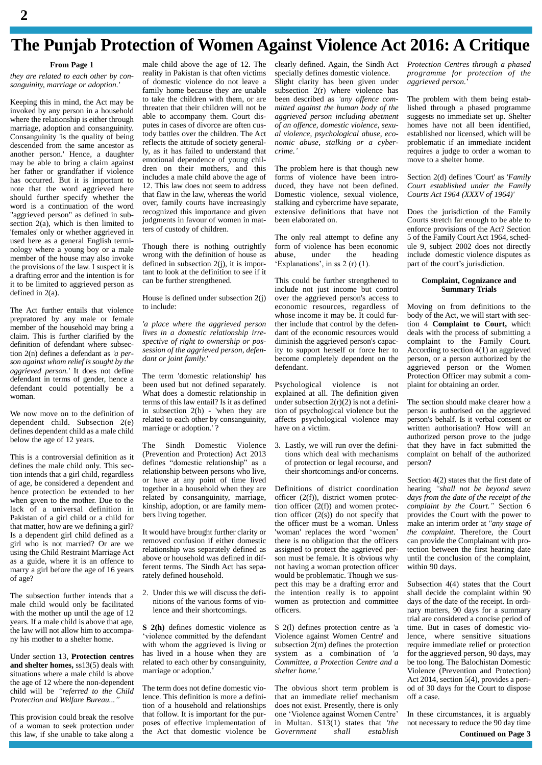### **The Punjab Protection of Women Against Violence Act 2016: A Critique**

### **From Page 1**

**2**

*they are related to each other by con sanguinity, marriage or adoption.'*

Keeping this in mind, the Act may be invoked by any person in a household where the relationship is either through marriage, adoption and consanguinity. Consanguinity 'is the quality of being descended from the same ancestor as another person.' Hence, a daughter may be able to bring a claim against her father or grandfather if violence has occurred. But it is important to note that the word aggrieved here should further specify whether the word is a continuation of the word "aggrieved person" as defined in sub section 2(a), which is then limited to 'females' only or whether aggrieved in used here as a general English termi nology where a young boy ora male member of the house may also invoke the provisions of the law. I suspect it is a drafting error and the intention is for it to be limited to aggrieved person as defined in 2(a).

The Act further entails that violence prepratored by any male or female member of the household may bring a claim. This is further clarified by the definition of defendant where subsection 2(n) defines a defendant as *'a per son against whom relief is sought by the aggrieved person.'* It does not define defendant in terms of gender, hence a defendant could potentially be a woman.

We now move on to the definition of dependent child. Subsection 2(e) defines dependent child as a male child below the age of 12 years.

This is a controversial definition as it defines the male child only. This section intends that a girl child, regardless of age, be considered a dependent and hence protection be extended to her when given to the mother. Due to the lack of a universal definition in Pakistan of a girl child or a child for that matter, how are we defining a girl? Is a dependent girl child defined as a girl who is not married? Or are we using the Child Restraint Marriage Act as a guide, where it is an offence to marry a girl before the age of 16 years of age?

The subsection further intends that a male child would only be facilitated with the mother up until the age of 12 years. If a male child is above that age, the law will not allow him to accompa-<br>violence committed by the defendant ny his mother to a shelter home.

Under section 13, **Protection centres and shelter homes,** ss13(5) deals with related to each other contains where a male child is above marriage or adoption. situations where a male child is above the age of 12 where the non-dependent child will be *<sup>ì</sup>referred to the Child Protection and Welfare Bureau...<sup>î</sup>*

This provision could break the resolve of a woman to seek protection under this law, if she unable to take along a

male child above the age of 12. The reality in Pakistan is that often victims of domestic violence do not leave a family home because they are unable to take the children with them, or are been described as 'any offence comthreaten that their children will not be able to accompany them. Court dis putes in cases of divorce are often custody battles over the children. The Act reflects the attitude of society generally, as it has failed to understand that crime.' emotional dependence of young chil dren on their mothers, and this includes a male child above the age of 12. This law does not seem to address that flaw in the law, whereas the world over, family courts have increasingly recognized this importance and given judgments in favour of women in matters of custody of children.

Though there is nothing outrightly wrong with the definition of house as abuse, under the defined in subsection  $2(i)$ , it is impor- 'Explanations', in ss 2 (r) (1). defined in subsection 2(j), it is important to look at the definition to see if it can be further strengthened.

House is defined under subsection 2(j) to include:

*'a place where the aggrieved person lives in a domestic relationship irre spective of right to ownership or pos session of the aggrieved person, defen dant or joint family.'*

The term 'domestic relationship' has been used but not defined separately. What does a domestic relationship in terms of this law entail? Is it as defined in subsection 2(h) - 'when they are related to each other by consanguinity, marriage or adoption.' ?

The Sindh Domestic Violence (Prevention and Protection) Act 2013 defines "domestic relationship" as a relationship between persons who live, or have atany point of time lived together in a household when they are related by consanguinity, marriage, kinship, adoption, or are family mem bers living together.

It would have brought further clarity or voman' replaces the word 'women' removed confusion if either domestic relationship was separately defined as above or household was defined in different terms. The Sindh Act has separately defined household.

2. Under this we will discuss the defi nitions of the various forms of violence and their shortcomings.

**S 2(h)** defines domestic violence as S 2(violence committed by the defendant Violence with whom the aggrieved is living or<br>has lived in a house when they are related to each other by consanguinity, C has lived in a house when<br>related to each other by cons<br>marriage or adoption.<sup>7</sup>

The term does not define domestic violence. This definition is more a definition of a household and relationships does not exist. Presently, there is only that follow. It is important for the pur- one 'Violence against Women Centre' that follow. It is important for the pur poses of effective implementation of the Act that domestic violence be

clearly defined. Again, the Sindh Act specially defines domestic violence. Slight clarity has been given under *aggrieved person*. subsection  $2(r)$  where violence has  $\frac{1}{2}$  Slight clarity has been given under *agg*<br>subsection 2(r) where violence has<br>been described as *'any offence committed against the human body of the aggrieved person including abetment of an of ence, domestic violence, sexu al violence, psychological abuse, eco- crime.<sup>í</sup> nomic abuse, stalking or a cyber-*

The problem here is that though new forms of violence have been intro duced, they have not been defined. Domestic violence, sexual violence, stalking and cybercrime have separate, extensive definitions that have not been elaborated on.

The only real attempt to define any form of violence has been economic ule 9<br>abuse, under the heading inclu-<br>Explanations' in ss 2 (r)(1). part of

This could be further strengthened to include not just income but control over the aggrieved person's access to economic resources, regardless of whose income it may be. It could further include that control by the defen dant of the economic resources would diminish the aggrieved person's capacity to support herself or force her to become completely dependent on the defendant.

Psychological violence is not explained at all. The definition given under subsection  $2(r)(2)$  is not a definition of psychological violence but the affects psychological violence may have on a victim.

3. Lastly, we will run over the definitions which deal with mechanisms of protection or legal recourse, and their shortcomings and/or concerns.

officer (2(f)), district women protection officer  $(2(f))$  and women protection officer  $(2(s))$  do not specify that pro<br>the officer must be a woman. Unless mal<br>'woman' replaces the word 'women' *the* the officer must be a woman. Unless there is no obligation that the officers assigned to protect the aggrieved per son must be female. It is obvious why not having a woman protection officer would be problematic. Though we sus pect this may be a drafting error and the intention really is to appoint women as protection and committee officers.

S 2(l) defines protection centre as 'a Violence against Women Centre' and subsection 2(m) defines the protection system as a combination of *'a Committee, a Protection Centre and a shelter home.'*

The obvious short term problem is that an immediate relief mechanism does not exist. Presently, there is only that an immediate relief mechanism off<br>does not exist. Presently, there is only<br>one 'Violence against Women Centre' In in Multan. S13(1) states that *'the Government shall establish*

*Protection Centres through a phased aggrieved person.*<sup>í</sup> *programme for protection of the*

The problem with them being established through a phased programme suggests no immediate set up. Shelter homes have not all been identified, established nor licensed, which will be problematic if an immediate incident requires a judge to order a woman to move to a shelter home.

Section 2(d) defines 'Court' as *'Family Court established under the Family Courts Act 1964 (XXXV of 1964)'*

under the heading include domestic violence dispositions', in ss  $2(r)(1)$ , part of the court's jurisdiction. Does the jurisdiction of the Family Courts stretch far enough to be able to enforce provisions of the Act? Section 5 of the Family Court Act 1964, sched ule 9, subject 2002 does not directly include domestic violence disputes as part of the court's jurisdiction. include domestic violence disputes as

#### **Complaint, Cognizance and Summary Trials**

Moving on from definitions to the body of the Act, we will start with section 4 **Complaint to Court,** which deals with the process of submitting a complaint to the Family Court. According to section 4(1) an aggrieved person, or a person authorized by the aggrieved person or the Women Protection Officer may submit a com plaint for obtaining an order.

The section should make clearer how a person is authorised on the aggrieved person's behalf. Is it verbal consent or written authorisation? How will an authorized person prove to the judge that they have in fact submitted the complaint on behalf of the authorized person?

Definitions of district coordination hearing "shall not be beyond seven Section 4(2) states that the first date of hearing *<sup>ì</sup>shall not be beyond seven days from the date of the receipt of the complaint by the Court.<sup>î</sup>* Section <sup>6</sup> provides the Court with the power to make an interim order at *"any stage of the complaint.* Therefore, the Court can provide the Complainant with protection between the first hearing date until the conclusion of the complaint, within 90 days.

> Subsection 4(4) states that the Court shall decide the complaint within 90 days of the date of the receipt. In ordi nary matters, 90 days for a summary trial are considered a concise period of time. But in cases of domestic violence, where sensitive situations require immediate relief or protection for the aggrieved person, 90 days, may be too long. The Balochistan Domestic Violence (Prevention and Protection) Act 2014, section 5(4), provides a peri od of 30 days for the Court to dispose off a case.

> In these circumstances, it is arguably not necessary to reduce the 90 day time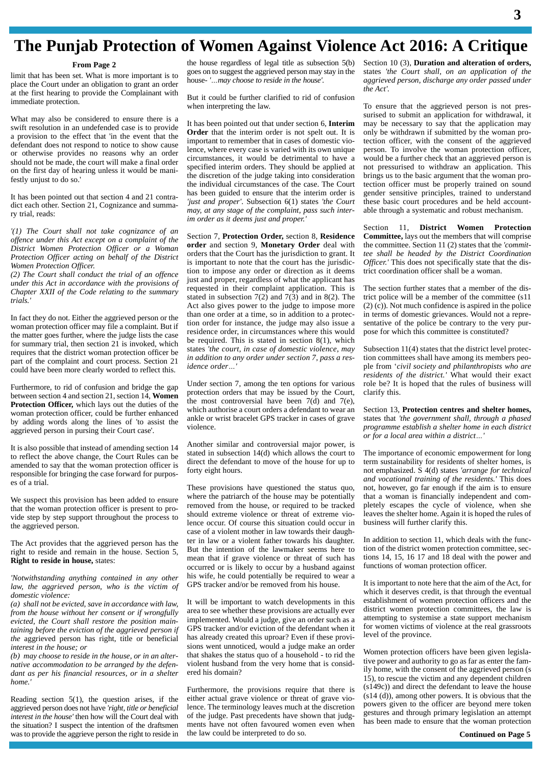### **The Punjab Protection of Women Against Violence Act 2016: A Critique**

#### **From Page 2**

limit that has been set. What is more important is to goes on to suggest the aggreved person may<br>place the Court under an obligation to grapt an order house. "...may choose to reside in the house". place the Court under an obligation to grant an order at the first hearing to provide the Complainant with immediate protection.

What may also be considered to ensure there is a swift resolution in an undefended case is to provide a provision to the effect that 'in the event that the defendant does not respond to notice to show cause or otherwise provides no reasons why an order should not be made, the court will make a final order on the first day of hearing unless itwould be manifestly unjust to do so.'

It has been pointed out that section 4 and 21 contra dict each other. Section 21, Cognizance and summary trial, reads:

*'(1) The Court shall not take cognizance of an of ence under this Act except on a complaint of the District Women Protection Oficer or a Woman Protection Of icer acting on behalf of the District Women Protection Of icer.*

*(2) The Court shall conduct the trial of an offence under this Act in accordance with the provisions of Chapter XXII of the Code relating to the summary trials.'*

In fact they do not. Either the aggrieved person or the woman protection officer may file a complaint. But if the matter goes further, where the judge lists the case for summary trial, then section 21 is invoked, which requires that the district woman protection officer be part of the complaint and court process. Section 21  $\mu$  diameter to a could have been more elective useful to reflect this idence order... could have been more clearly worded to reflect this.

Furthermore, to rid of confusion and bridge the gap between section 4 and section 21, section 14, **Women Protection Officer,** which lays out the duties of the woman protection officer, could be further enhanced by adding words along the lines of 'to assist the aggrieved person in pursing their Court case'.

It is also possible that instead of amending section 14 to reflect the above change, the Court Rules can be amended to say that the woman protection officer is responsible for bringing the case forward for purpos es of a trial.

We suspect this provision has been added to ensure that the woman protection officer is present to pro vide step by step support throughout the process to the aggrieved person.

The Act provides that the aggrieved person has the right to reside and remain in the house. Section 5, **Right to reside in house,** states:

*'Notwithstanding anything contained in any other law, the aggrieved person, who is the victim of domestic violence:*

*(a) shall not be evicted, save in accordance with law,from the house without her consent or ifwrongfully evicted, the Court shall restore the position maintaining before the eviction of the aggrieved person if the* aggrieved person has right, title or beneficial *interest in the house; or*

*(b) may choose to reside in the house, or in an alter native accommodation to be arranged by the defen dant as per his financial resources, or in a shelter home.'*

Reading section  $5(1)$ , the question arises, if the aggrieved person does not have *'right, title or beneficial interest in the house'* then how will the Court deal with the situation? I suspect the intention of the draftsmen was to provide the aggrieve person the right to reside in

the house regardless of legal title as subsection 5(b) Secgoes on to suggest the aggrieved person may stay in the state house- *'may choose to reside in the house'. agg* goes on to suggest the aggrieved person may stay in the

But it could be further clarified to rid of confusion when interpreting the law.

It has been pointed out that under section 6, **Interim Order** that the interim order is not spelt out. It is important to remember that in cases of domestic violence, where every case is varied with its own unique circumstances, it would be detrimental to have a specified interim orders. They should be applied at the discretion of the judge taking into consideration the individual circumstances of the case. The Court has been guided to ensure that the interim order is *'just and proper'*. Subsection 6(1) states *'the Court may, at any stage of the complaint, pass such interim orderas itdeems just and proper.'*

Section 7, **Protection Order,** section 8, **Residence order** and section 9, **Monetary Order** deal with orders that the Court has the jurisdiction to grant. It is important to note that the court has the jurisdiction to impose any order or direction as it deems just and proper, regardless of what the applicant has requested in their complaint application. This is stated in subsection  $7(2)$  and  $7(3)$  and in 8(2). The Act also gives power to the judge to impose more than one order at a time, so in addition to a protection order for instance, the judge may also issue a residence order, in circumstances where this would be required. This is stated in section 8(1), which states *'the court, in case of domestic violence, may in addition to any order under section 7, pass a resi*dence *our*, *in in addition to any of dence order* 

Under section 7, among the ten options for various protection orders that may be issued by the Court, the most controversial have been  $7(d)$  and  $7(e)$ , which authorise a court orders a defendant to wear an ankle or wrist bracelet GPS tracker in cases of grave violence.

Another similar and controversial major power, is stated in subsection 14(d) which allows the court to direct the defendant to move of the house for up to forty eight hours.

These provisions have questioned the status quo, where the patriarch of the house may be potentially removed from the house, or required to be tracked should extreme violence or threat of extreme violence occur. Of course this situation could occur in case of a violent mother in law towards their daughter in law or a violent father towards his daughter. But the intention of the lawmaker seems here to mean that if grave violence or threat of such has occurred or is likely to occur by a husband against his wife, he could potentially be required to wear a GPS tracker and/or be removed from his house.

It will be important to watch developments in this area to see whether these provisions are actually ever implemented. Would a judge, give an order such as a GPS tracker and/or eviction of the defendant when it has already created this uproar? Even if these provi sions went unnoticed, would a judge make an order that shakes the status quo of a household - to rid the violent husband from the very home that is consid ered his domain?

Furthermore, the provisions require that there is either actual grave violence or threat of grave violence. The terminology leaves much at the discretion of the judge. Past precedents have shown that judg ments have not often favoured women even when the law could be interpreted to do so.

Section 10 (3), **Duration and alteration of orders,** states *'the Court shall, on an application of the aggrieved person, discharge any order passed under the Act'.*

To ensure that the aggrieved person is not pres surised to submit an application for withdrawal, it may be necessary to say that the application may only be withdrawn if submitted by the woman protection officer, with the consent of the aggrieved person. To involve the woman protection officer, would be a further check that an aggrieved person is not pressurised to withdraw an application. This brings us to the basic argument that the woman protection officer must be properly trained on sound gender sensitive principles, trained to understand these basic court procedures and be held account able through a systematic and robust mechanism.

Section 11, **District Women Protection Committee,** lays out the members that will comprise the committee. Section 11 (2) states that the *'committee shall be headed by the District Coordination Officer.'* This does not specifically state that the district coordination officer shall be a woman.

The section further states that a member of the district police will be a member of the committee (s11 (2) (c)). Not much confidence is aspired in the police in terms of domestic grievances. Would not a repre sentative of the police be contrary to the very pur pose for which this committee is constituted?

Subsection 11(4) states that the district level protection committees shall have among its members peo ple from <sup>ë</sup>*civil society and philanthropists who are residents of the district.'* What would their exact role be? It is hoped that the rules of business will clarify this.

Section 13, **Protection centres and shelter homes,** states that *'the government shall, through a phased programme establish a shelter home in each district*  $\alpha$ *for a local area within a district...'* 

The importance of economic empowerment for long term sustainability for residents of shelter homes, is not emphasized. S 4(d) states *'arrange for technical and vocational training of the residents.'* This does not, however, go far enough if the aim is to ensure that a woman is financially independent and com pletely escapes the cycle of violence, when she leaves the shelter home. Again it is hoped the rules of business will further clarify this.

In addition to section 11, which deals with the function of the district women protection committee, sections 14, 15, 16 17 and 18 deal with the power and functions of woman protection officer.

It is important to note here that the aim of the Act, for which it deserves credit, is that through the eventual establishment of women protection officers and the district women protection committees, the law is attempting to systemise a state support mechanism for women victims of violence at the real grassroots level of the province.

Women protection officers have been given legislative power and authority to go as far as enter the family home, with the consent of the aggrieved person (s 15), to rescue the victim and any dependent children (s149c)) and direct the defendant to leave the house (s14 (d)), among other powers. It is obvious that the powers given to the officer are beyond mere token gestures and through primary legislation an attempt has been made to ensure that the woman protection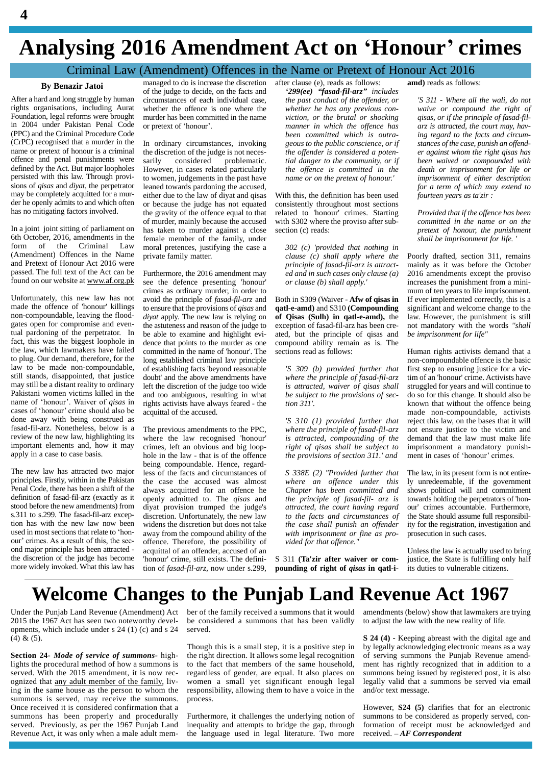### **Analysing <sup>2016</sup> Amendment Act on <sup>ë</sup>Honour<sup>í</sup> crimes**

# *299(ee) <sup><i>nanged to do is increase the discretion after clause (e), reads as follows: and) reads as follows: of the judge to decide, on the facts and <i>299(ee) <i>fasad-fil-arz*<sup>*n*</sup> *includes*</sup>

### **By Benazir Jatoi**

After a hard and long struggle by human rights organisations, including Aurat Foundation, legal reforms were brought in 2004 under Pakistan Penal Code or pretext of 'honour'. (PPC) and the Criminal Procedure Code (CrPC) recognised that a murder in the name or pretext of honour is a criminal offence and penal punishments were defined by the Act. But major loopholes persisted with this law. Through provi sions of *qisas* and *diyat*, the perpetrator may be completely acquitted for a mur der he openly admits to and which often has no mitigating factors involved.

In a joint joint sitting of parliament on 6th October, 2016, amendments in the form of the Criminal Law (Amendment) Offences in the Name and Pretext of Honour Act 2016 were passed. The full text of the Act can be found on our website at [www.af.org.pk](http://www.af.org.pk)

Unfortunately, this new law has not made the offence of 'honour' killings non-compoundable, leaving the flood gates open for compromise and eventual pardoning of the perpetrator. In fact, this was the biggest loophole in the law, which lawmakers have failed to plug. Our demand, therefore, for the law to be made non-compoundable, still stands, disappointed, that justice may still be a distant reality to ordinary Pakistani women victims killed in the name of 'honour'. Waiver of *qisas* in cases of 'honour' crime should also be done away with being construed as fasad-fil-arz. Nonetheless, below is a review of the new law, highlighting its important elements and, how it may apply in a case to case basis.

The new law has attracted two major principles. Firstly, within in the Pakistan Penal Code, there has been a shift of the definition of fasad-fil-arz (exactly as it stood before the new amendments) from s.311 to s.299. The fasad-fil-arz excep-<br>tion has with the new law now been wide<br>used in most sections that relate to 'hontion has with the new law now been<br>used in most sections that relate to 'hon-<br>our' crimes. As a result of this, the sec-<br>offence ond major principle has been attracted the discretion of the judge has become more widely invoked. What this law has

managed to do is increase the discretion after clause (e), reads as follows:<br>of the judge to decide, on the facts and  $299(ee)$  "fasad-fil-arz" includes of the judge to decide, on the facts and circumstances of each individual case, whether the offence is one where the  $w$ <br>murder has been committed in the name  $v$  *i* or pretext of 'honour'. murder has been committed in the name

In ordinary circumstances, invoking the discretion of the judge is not neces-<br>sarily considered problematic. problematic. However, in cases related particularly to women, judgements in the past have leaned towards pardoning the accused, either due to the law of diyat and qisas or because the judge has not equated the gravity of the offence equal to that of murder, mainly because the accused has taken to murder against a close female member of the family, under moral pretences, justifying the case a private family matter.

Furthermore, the 2016 amendment may see the defence presenting 'honour' crimes as ordinary murder, in order to avoid the principle of *fasad-fil-arz* and to ensure that the provisions of *qisas* and *diyat* apply. The new law is relying on the astuteness and reason of the judge to be able to examine and highlight evi dence that points to the murder as one committed in the name of 'honour'. The long established criminal law principle of establishing facts 'beyond reasonable doubt' and the above amendments have left the discretion of the judge too wide and too ambiguous, resulting in what rights activists have always feared - the acquittal of the accused.

The previous amendments to the PPC, where the law recognised 'honour' crimes, left an obvious and big loop hole in the law - that is of the offence being compoundable. Hence, regardless of the facts and circumstances of the case the accused was almost always acquitted for an offence he Cl openly admitted to. The *qisas* and diyat provision trumped the judge's discretion. Unfortunately, the new law widens the discretion but does not take away from the compound ability of the offence. Therefore, the possibility of acquittal of an offender, accused of an 'honour' crime, still exists. The definition of *fasad-fil-arz,* now under s.299,

after clause (e), reads as follows: *<sup>ë</sup>the past conduct of the offender, or whether he has any previous con viction, or the brutal or shocking manner in which the of ence has been committed which is outra geous to the public conscience, or if the of ender is considered a potential danger to the community, or if the offence is committed in the name or on the pretext of honour.'*

With this, the definition has been used consistently throughout most sections related to 'honour' crimes. Starting with S302 where the proviso after sub section (c) reads:

*302 (c) 'provided that nothing in clause (c) shall apply where the principle of fasad-fil-arz is attract ed and in such cases only clause (a) or clause (b) shall apply.'*

Both in S309 (Waiver - **Afw of qisas in qatl-e-amd)** and S310 **(Compounding of Qisas (Sulh) in qatl-e-amd),** the exception of fasad-fil-arz has been cre ated, but the principle of qisas and compound ability remain as is. The sections read as follows:

*'S 309 (b) provided further that where the principle of fasad-fil-arz is attracted, waiver of qisas shall be subject to the provisions of section 311'.*

*'S 310 (1) provided further that where the principle of fasad-fil-arz is attracted, compounding of the right of qisas shall be subject to the provisions of section 311.' and*

*S 338E (2) "Provided further that where an offence under this Chapter has been committed and the principle of fasad-fil- arz is attracted, the court having regard to the facts and circumstances of the case shall punish an offender with imprisonment or fine as pro vided for that of ence."*

S 311 **(Ta'zir after waiver or com** pounding of right of *qisas* in qatl-i**amd)** reads as follows:

*'S <sup>311</sup> - Where all the wali, do notwaive or compound the right of qisas, or ifthe principle of fasad-fil arz is attracted, the court may, having regard to the facts and circum stances of the case, punish an of end er against whom the right qisas has been waived or compounded with death or imprisonment for life or imprisonment of either description for a term of which may extend to fourteen years as ta'zir :*

*Provided that if the of ence has been committed in the name or on the pretext of honour, the punishment shall be imprisonment for life. '*

Poorly drafted, section 311, remains mainly as it was before the October 2016 amendments except the proviso increases the punishment from <sup>a</sup> mini-mum of ten years to life imprisonment. If ever implemented correctly, this is a significant and welcome change to the law. However, the punishment is still not mandatory with the words *''shall be imprisonment for life"*

Human rights activists demand that a non-compoundable offence is the basic first step to ensuring justice for a victim of an 'honour' crime. Activists have struggled for years and will continue to do so for this change. It should also be known that without the offence being made non-compoundable, activists reject this law, on the bases that it will not ensure justice to the victim and demand that the law must make life imprisonment a mandatory punish demand that the law must make life<br>imprisonment a mandatory punish-<br>ment in cases of 'honour' crimes.

The law, in its present form is not entirely unredeemable, if the government shows political will and commitment towards holding the perpetrators of 'hon our' crimes accountable. Furthermore, the State should assume full responsibility for the registration, investigation and prosecution in such cases.

Unless the law is actually used to bring justice, the State is fulfilling only half its duties to vulnerable citizens.

### **Welcome Changes to the Punjab Land Revenue Act 1967**

Under the Punjab Land Revenue (Amendment) Act ber of the family received a summons that it would amend 2015 the 1967 Act has seen two noteworthy developments, which include under s 24 (1) (c) and s 24  $(4)$  &  $(5)$ .

**Section 24-** *Mode of service of summons-* highlights the procedural method of how a summons is served. With the 2015 amendment, it is now rec ognized that any adult member of the family, living in the same house as the person to whom the summons is served, may receive the summons. Once received it is considered confirmation that a summons has been properly and procedurally served. Previously, as per the 1967 Punjab Land Revenue Act, it was only when a male adult membe considered a summons that has been validly served.

Though this is a small step, it is a positive step in the right direction. It allows some legal recognition to the fact that members of the same household, regardless of gender, are equal. It also places on women a small yet significant enough legal responsibility, allowing them to have a voice in the process.

Furthermore, it challenges the underlying notion of inequality and attempts to bridge the gap, through the language used in legal literature. Two more received.  $-AF$  Correspondent

amendments (below) show that lawmakers are trying to adjust the law with the new reality of life.

**S 24 (4) -** Keeping abreast with the digital age and by legally acknowledging electronic means as a way of serving summons the Punjab Revenue amend ment has rightly recognized that in addition to a summons being issued by registered post, it is also legally valid that a summons be served via email and/or text message.

However, **S24 (5)** clarifies that for an electronic summons to be considered as properly served, con-<br>formation of receipt must be acknowledged and<br>received. *- AF Correspondent* formation of receipt must be acknowledged and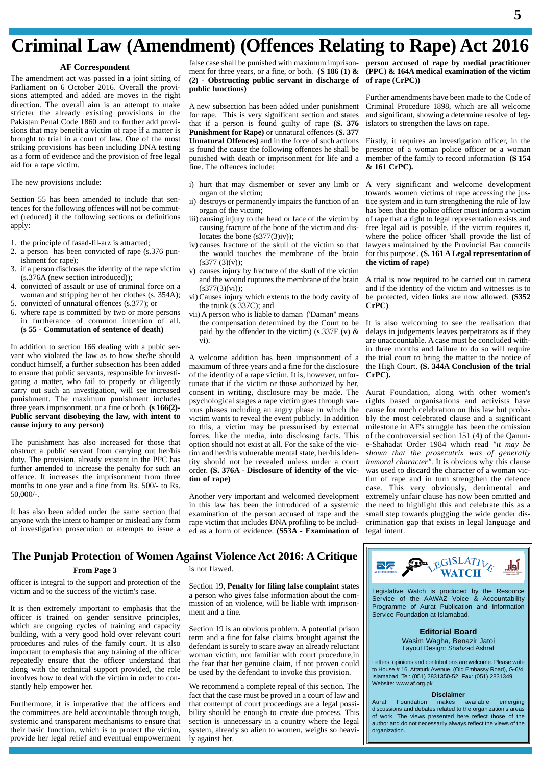### **Criminal Law (Amendment) (Offences Relating to Rape) Act 2016**

### **AF Correspondent**

The amendment act was passed in a joint sitting of Parliament on 6 October 2016. Overall the provi sions attempted and added are moves in the right direction. The overall aim is an attempt to make stricter the already existing provisions in the Pakistan Penal Code 1860 and to further add provi sions that may benefit a victim of rape if a matter is brought to trial in a court of law. One of the most striking provisions has been including DNA testing as a form of evidence and the provision of free legal aid for a rape victim.

The new provisions include:

Section 55 has been amended to include that sentences for the following offences will not be commut ed (reduced) if the following sections or definitions apply:

- 1. the principle of fasad-fil-arz is attracted;
- 2. a person has been convicted of rape (s.376 punishment for rape);
- 3. if a person discloses the identity of the rape victim (s.376A (new section introduced));
- 4. convicted of assault or use of criminal force on a woman and stripping her of her clothes (s. 354A);
- 5. convicted of unnatural offences (s.377); or
- 6. where rape is committed by two or more persons in furtherance of common intention of all. **(s 55 - Commutation of sentence of death)**

In addition to section 166 dealing with a pubic ser vant who violated the law as to how she/he should conduct himself, a further subsection has been added to ensure that public servants, responsible for investi carry out such an investigation, will see increased punishment. The maximum punishment includes three years imprisonment, or a fine or both. **(s 166(2)- Public servant disobeying the law, with intent to cause injury to any person)**

The punishment has also increased for those that obstruct a public servant from carrying out her/his duty. The provision, already existent in the PPC has further amended to increase the penalty for such an offence. It increases the imprisonment from three months to one year and a fine from Rs. 500/- to Rs. 50,000/-.

It has also been added under the same section that anyone with the intent to hamper or mislead any form of investigation prosecution or attempts to issue a false case shall be punished with maximum imprison ment for three years, or a fine, or both. **(S 186 (1) & (2) - Obstructing public servant in discharge of public functions)**

A new subsection has been added under punishment for rape. This is very significant section and states that if a person is found guilty of rape **(S. 376 Punishment for Rape)** or unnatural offences **(S. 377 Unnatural Offences)** and in the force of such actions is found the cause the following offences he shall be punished with death or imprisonment for life and a fine. The offences include:

- i) hurt that may dismember or sever any limb or organ of the victim;
- ii) destroys or permanently impairs the function of an organ of the victim;
- iii) causing injury to the head or face of the victim by causing fracture of the bone of the victim and dislocates the bone (s377(3)iv));
- iv) causes fracture of the skull of the victim so that the would touches the membrane of the brain  $(s377 (3)(v))$ ;
- v) causes injury by fracture of the skull of the victim and the wound ruptures the membrane of the brain  $(s377(3)(vi))$ ;
- vi) Causes injury which extents to the body cavity of the trunk (s 337C); and
- vii) A person who is liable to daman ('Daman" means the compensation determined by the Court to be paid by the offender to the victim) (s.337F (v)  $\&$ vi).

gating a matter, who fail to properly or diligently tunate that if the victim or those authorized by her, A welcome addition has been imprisonment of a maximum of three years and a fine for the disclosure of the identity of a rape victim. It is, however, unforconsent in writing, disclosure may be made. The psychological stages a rape victim goes through various phases including an angry phase in which the victim wants to reveal the event publicly. In addition to this, a victim may be pressurised by external forces, like the media, into disclosing facts. This option should not exist at all. For the sake of the victim and her/his vulnerable mental state, her/his identity should not be revealed unless under a court order. **(S. 376A -** Disclosure of identity of the vic**tim of rape)**

> Another very important and welcomed development in this law has been the introduced of a systemic examination of the person accused of rape and the rape victim that includes DNA profiling to be includ ed as a form of evidence. **(S53A - Examination of**

**person accused of rape by medial practitioner (PPC) & 164A medical examination of the victim of rape (CrPC))**

Further amendments have been made to the Code of Criminal Procedure 1898, which are all welcome and significant, showing a determine resolve of legislators to strengthen the laws on rape.

Firstly, it requires an investigation officer, in the presence of a woman police officer or a woman member of the family to record information **(S 154 & 161 CrPC).**

A very significant and welcome development towards women victims of rape accessing the justice system and in turn strengthening the rule of law has been that the police officer must inform a victim of rape that a right to legal representation exists and free legal aid is possible, if the victim requires it, where the police officer 'shall provide the list of lawyers maintained by the Provincial Bar councils for this purpose'. **(S. 161 A Legal representation of the victim of rape)**

A trial is now required to be carried out in camera and if the identity of the victim and witnesses is to be protected, video links are now allowed. **(S352 CrPC)**

It is also welcoming to see the realisation that delays in judgements leaves perpetrators as if they are unaccountable. A case must be concluded within three months and failure to do so will require the trial court to bring the matter to the notice of the High Court. **(S. 344A Conclusion of the trial CrPC).**

Aurat Foundation, along with other women's rights based organisations and activists have cause for much celebration on this law but proba bly the most celebrated clause and a significant milestone in AF's struggle has been the omission of the controversial section 151 (4) of the Qanun e-Shahadat Order 1984 which read *"it may be shown that the prosecutrix was of generally immoral character".* It is obvious why this clause was used to discard the character of a woman victim of rape and in turn strengthen the defence case. This very obviously, detrimental and extremely unfair clause has now been omitted and the need to highlight this and celebrate this as a small step towards plugging the wide gender dis crimination gap that exists in legal language and legal intent.

# **The Punjab Protection of Women Against Violence Act 2016: A Critique<br>From Page 3<br>is not flawed.**

#### **From Page 3**

officer is integral to the support and protection of the victim and to the success of the victim's case.

It is then extremely important to emphasis that the officer is trained on gender sensitive principles, which are ongoing cycles of training and capacity building, with a very good hold over relevant court procedures and rules of the family court. It is also important to emphasis that any training of the officer repeatedly ensure that the officer understand that along with the technical support provided, the role involves how to deal with the victim in order to con stantly help empower her.

Furthermore, it is imperative that the officers and the committees are held accountable through tough, systemic and transparent mechanisms to ensure that their basic function, which is to protect the victim, provide her legal relief and eventual empowerment

is not flawed.

Section 19, **Penalty for filing false complaint** states a person who gives false information about the com mission of an violence, will be liable with imprison ment and a fine.

Section 19 is an obvious problem. A potential prison term and a fine for false claims brought against the defendant is surely to scare away an already reluctant woman victim, not familiar with court procedure,in the fear that her genuine claim, if not proven could be used by the defendant to invoke this provision.

We recommend a complete repeal of this section. The fact that the case must be proved in a court of law and that contempt of court proceedings are a legal possi bility should be enough to create due process. This section is unnecessary in a country where the legal system, already so alien to women, weighs so heavily against her.



Legislative Watch is produced by the Resource Service of the AAWAZ Voice & Accountability Programme of Aurat Publication and Information Service Foundation at Islamabad.

> **Editorial Board** Wasim Wagha, Benazir Jatoi Layout Design: Shahzad Ashraf

Letters, opinions and contributions are welcome. Please write to House # 16, Attaturk Avenue, (Old Embassy Road), G-6/4, Islamabad. Tel: (051) 2831350-52, Fax: (051) 2831349 Website: [www.af.org.pk](http://www.af.org.pk)

**Disclaimer**<br>makes available Aurat Foundation makes available emerging discussions and debates related to the organization's areas of work. The views presented here reflect those of the author and do not necessarily always reflect the views of the organization.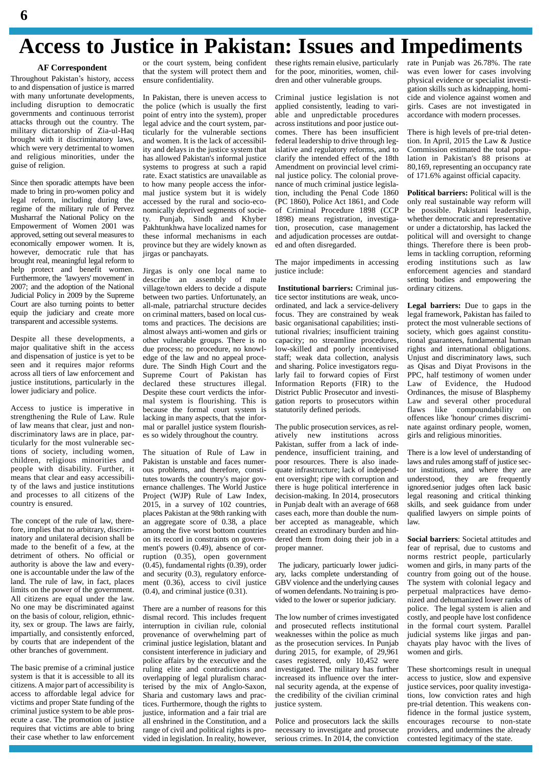### **Access to Justice in Pakistan: Issues and Impediments**

#### **AF Correspondent**

Throughout Pakistan's history, access to and dispensation of justice is marred with many unfortunate developments, including disruption to democratic governments and continuous terrorist attacks through out the country. The military dictatorship of Zia-ul-Haq brought with it discriminatory laws, which were very detrimental to women and religious minorities, under the guise of religion.

Since then sporadic attempts have been made to bring in pro-women policy and legal reform, including during the regime of the military rule of Pervez Musharraf the National Policy on the  $\frac{1}{y}$ Empowerment of Women 2001 was approved, setting out several measures to economically empower women. It is, however, democratic rule that has brought real, meaningful legal reform to help protect and benefit women. Furthermore, the 'lawyers' movement' in 2007; and the adoption of the National Judicial Policy in 2009 by the Supreme Court are also turning points to better equip the judiciary and create more transparent and accessible systems.

Despite all these developments, a major qualitative shift in the access and dispensation of justice is yet to be seen and it requires major reforms across all tiers of law enforcement and justice institutions, particularly in the lower judiciary and police.

Access to justice is imperative in strengthening the Rule of Law. Rule of law means that clear, just and non discriminatory laws are in place, particularly for the most vulnerable sections of society, including women, children, religious minorities and people with disability. Further, it means that clear and easy accessibility of the laws and justice institutions and processes to all citizens of the country is ensured.

The concept of the rule of law, therefore, implies that no arbitrary, discriminatory and unilateral decision shall be made to the benefit of a few, at the detriment of others. No official or authority is above the law and every one is accountable under the law of the land. The rule of law, in fact, places limits on the power of the government. All citizens are equal under the law. No one may be discriminated against on the basis of colour, religion, ethnicity, sex or group. The laws are fairly, impartially, and consistently enforced, by courts that are independent of the other branches of government.

The basic premise of a criminal justice system is that it is accessible to all its citizens. <sup>A</sup> major part of accessibility isaccess to affordable legal advice for victims and proper State funding of the criminal justice system to be able pros ecute a case. The promotion of justice requires that victims are able to bring their case whether to law enforcement or the court system, being confident that the system will protect them and ensure confidentiality.

In Pakistan, there is uneven access to the police (which is usually the first point of entry into the system), proper legal advice and the court system, particularly for the vulnerable sections and women. It is the lack of accessibility and delays in the justice system that has allowed Pakistan's informal justice systems to progress at such a rapid rate. Exact statistics are unavailable as to how many people access the infor mal justice system but it is widely accessed by the rural and socio-eco nomically deprived segments of socie-Punjab, Sindh and Khyber Pakhtunkhwa have localized names for these informal mechanisms in each province but they are widely known as jirgas or panchayats.

Jirgas is only one local name to describe an assembly of male village/town elders to decide a dispute between two parties. Unfortunately, an all-male, patriarchal structure decides on criminal matters, based on local customs and practices. The decisions are almost always anti-women and girls or other vulnerable groups. There is no due process; no procedure, no knowl edge of the law and no appeal proce dure. The Sindh High Court and the Supreme Court of Pakistan has declared these structures illegal. Despite these court verdicts the infor mal system is flourishing. This is because the formal court system is lacking in many aspects, that the infor mal or parallel justice system flourish es so widely throughout the country.

The situation of Rule of Law in Pakistan is unstable and faces numer ous problems, and therefore, constitutes towards the country's major gov ernance challenges. The World Justice Project (WJP) Rule of Law Index, 2015, in a survey of 102 countries, places Pakistan at the 98th ranking with an aggregate score of 0.38, a place among the five worst bottom countries on its record in constraints on govern ment's powers (0.49), absence of corruption (0.35), open government (0.45), fundamental rights (0.39), order and security (0.3), regulatory enforce ment (0.36), access to civil justice (0.4), and criminal justice (0.31).

There are a number of reasons for this dismal record. This includes frequent interruption in civilian rule, colonial provenance of overwhelming part of criminal justice legislation, blatant and consistent interference in judiciary and police affairs by the executive and the ruling elite and contradictions and overlapping of legal pluralism characterised by the mix of Anglo-Saxon, Sharia and customary laws and practices. Furthermore, though the rights to justice, information and a fair trial are all enshrined in the Constitution, and a range of civil and political rights is pro vided in legislation. In reality, however,

these rights remain elusive, particularly for the poor, minorities, women, chil dren and other vulnerable groups.

Criminal justice legislation is not applied consistently, leading to vari able and unpredictable procedures across institutions and poor justice out comes. There has been insufficient federal leadership to drive through legislative and regulatory reforms, and to clarify the intended effect of the 18th Amendment on provincial level crimi nal justice policy. The colonial prove nance of much criminal justice legislation, including the Penal Code 1860 (PC 1860), Police Act 1861, and Code of Criminal Procedure 1898 (CCP 1898) means registration, investigation, prosecution, case management and adjudication processes are outdat ed and often disregarded.

The major impediments in accessing justice include:

**Institutional barriers:** Criminal justice sector institutions are weak, unco ordinated, and lack a service-delivery focus. They are constrained by weak basic organisational capabilities; institutional rivalries; insufficient training capacity; no streamline procedures, low-skilled and poorly incentivised staff; weak data collection, analysis and sharing. Police investigators regularly fail to forward copies of First Information Reports (FIR) to the District Public Prosecutor and investi gation reports to prosecutors within statutorily defined periods.

The public prosecution services, as rel atively new institutions across Pakistan, suffer from a lack of inde pendence, insufficient training, and poor resources. There is also inade quate infrastructure; lack of independ ent oversight; ripe with corruption and there is huge political interference in decision-making. In 2014, prosecutors in Punjab dealt with an average of 668 cases each, more than double the num ber accepted as manageable, which created an extrodinary burden and hin dered them from doing their job in a proper manner.

The judicary, particuarly lower judici ary, lacks complete understanding of GBV violence and the underlying causes of women defendants. No training is provided to the lower or superior judiciary.

The low number of crimes investigated and prosecuted reflects institutional weaknesses within the police as much as the prosecution services. In Punjab during 2015, for example, of 29,961 cases registered, only 10,452 were investigated. The military has further increased its influence over the inter nal security agenda, at the expense of the credibility of the civilian criminal justice system.

Police and prosecutors lack the skills necessary to investigate and prosecute serious crimes. In 2014, the conviction rate in Punjab was 26.78%. The rate was even lower for cases involving physical evidence or specialist investi gation skills such as kidnapping, homi cide and violence against women and girls. Cases are not investigated in accordance with modern processes.

There is high levels of pre-trial detention. In April, 2015 the Law & Justice Commission estimated the total population in Pakistan's 88 prisons at 80,169, representing an occupancy rate of 171.6% against official capacity.

**Political barriers:** Political will is the only real sustainable way reform will be possible. Pakistani leadership, whether democratic and representative or under a dictatorship, has lacked the political will and oversight to change things. Therefore there is been problems in tackling corruption, reforming eroding institutions such as law enforcement agencies and standard setting bodies and empowering the ordinary citizens.

**Legal barriers:** Due to gaps in the legal framework, Pakistan has failed to protect the most vulnerable sections of society, which goes against constitutional guarantees, fundamental human rights and international obligations. Unjust and discriminatory laws, such as Qisas and Diyat Provisons in the PPC, half testimony of women under Law of Evidence, the Hudood Ordinances, the misuse of Blasphemy Law and several other procedural flaws like compoundability on offences like 'honour' crimes discrimi nate against ordinary people, women, girls and religious minorities.

There is a low level of understanding of laws and rules among staff of justice sector institutions, and where they are understood, they are frequently ignored.senior judges often lack basic legal reasoning and critical thinking skills, and seek guidance from under qualified lawyers on simple points of law.

**Social barriers**: Societal attitudes and fear of reprisal, due to customs and norms restrict people, particularly women and girls, in many parts of the country from going out of the house. The system with colonial legacy and perpetual malpractices have demo nized and dehumanized lower ranks of police. The legal system is alien and costly, and people have lost confidence in the formal court system. Parallel judicial systems like jirgas and pan chayats play havoc with the lives of women and girls.

These shortcomings result in unequal access to justice, slow and expensive justice services, poor quality investigations, low conviction rates and high pre-trial detention. This weakens confidence in the formal justice system, encourages recourse to non-state providers, and undermines the already contested legitimacy of the state.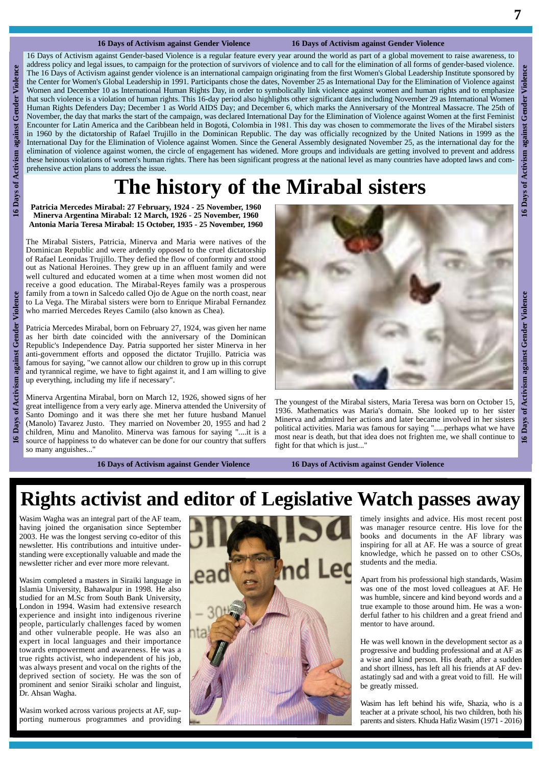#### **16 Days of Activism against Gender Violence 16 Days of Activism against Gender Violence**

**16 16 Days of COMP EXECUTE: 16 Days of COMP EXECUTE: COMP EXECUTE: COMP EXECUTE: COMP EXECUTE: COMP EXECUTE: COMP CONFIDENT CONFIDENT CONFIDENT CONFIDENT CONFIDENT CONFIDE** 16 Days of Activism against Gender-based Violence is a regular feature every year around the world as part of a global movement to raise awareness, to address policy and legal issues, to campaign for the protection of survivors of violence and to callfor the elimination of all forms of gender-based violence. The 16 Days of Activism against gender violence is an international campaign originating from the first Women's Global Leadership Institute sponsored by the Center for Women's Global Leadership in 1991. Participants chose the dates, November 25 as International Day for the Elimination of Violence against Women and December 10 as International Human Rights Day, in order to symbolically link violence against women and human rights and to emphasize that such violence is a violation of human rights. This 16-day period also highlights other significant dates including November 29 as International Women Human Rights Defenders Day; December 1 as World AIDS Day; and December 6, which marks the Anniversary of the Montreal Massacre. The 25th of The 25th of November, the day that marks the start of the campaign, was declared I November, the day that marks the start of the campaign, was declared International Day for the Elimination of Violence against Women at the first Feminist<br>Encounter for Latin America and the Caribbean held in Bogotá. Colom Encounter for Latin America and the Caribbean held in Bogotá, Colombia in 1981. This day was chosen to commemorate the lives of the Mirabel sisters in 1960 by the dictatorship of Rafael Trujillo in the Dominican Republic. International Day for the Elimination of Violence against Women. Since the General Assembly designated November 25, as the international day for the elimination of violence against women, the circle of engagement has widened. More groups and individuals are getting involved to prevent and address these heinous violations of women's human rights. There has been significant progress at the national level as many countries have adopted laws and com prehensive action plans to address the issue.

### **The history of the Mirabal sisters**

**Patricia Mercedes Mirabal: 27 February, 1924 - 25 November, 1960 Minerva Argentina Mirabal: 12 March, 1926 - 25 November, 1960 Antonia Maria Teresa Mirabal: 15 October, 1935 - 25 November, 1960**

The Mirabal Sisters, Patricia, Minerva and Maria were natives of the Dominican Republic and were ardently opposed to the cruel dictatorship of Rafael Leonidas Trujillo. They defied the flow of conformity and stood out as National Heroines. They grew up in an affluent family and were receive a good education. The Mirabal-Reyes family was a prosperous family from a town in Salcedo called Ojo de Ague on the north coast, near to La Vega. The Mirabal sisters were born to Enrique Mirabal Fernandez who married Mercedes Reyes Camilo (also known as Chea).

Patricia Mercedes Mirabal, born on February 27, 1924, was given her name as her birth date coincided with the anniversary of the Dominican Republic's Independence Day. Patria supported her sister Minerva in her anti-government efforts and opposed the dictator Trujillo. Patricia was famous for saying, "we cannot allow our children to grow up in this corrupt and tyrannical regime, we have to fight against it, and I am willing to give up everything, including my life if necessary".

Minerva Argentina Mirabal, born on March 12, 1926, showed signs of her great intelligence from a very early age. Minerva attended the University of Santo Domingo and it was there she met her future husband Manuel (Manolo) Tavarez Justo. They married on November 20, 1955 and had 2 children, Minu and Manolito. Minerva was famous for saying "....it is a source of happiness to do whatever can be done for our country that suffers so many anguishes...



1936. Mathematics was Maria's domain. She looked up to her sister Minerva and admired her actions and later became involved in her sisters political activities. Maria was famous for saying ".....perhaps what we have most near is death, but that idea does not frighten me, we shall continue to  $\frac{1}{2}$ fight for that which is just..."

**16 Days of Activism against Gender Violence 16 Days of Activism against Gender Violence**

### **Rights activist and editor of Legislative Watch passes away**

Wasim Wagha was an integral part of the AF team, having joined the organisation since September 2003. He was the longest serving co-editor of this newsletter. His contributions and intuitive under standing were exceptionally valuable and made the newsletter richer and ever more more relevant.

Wasim completed a masters in Siraiki language in Islamia University, Bahawalpur in 1998. He also studied for an M.Sc from South Bank University, London in 1994. Wasim had extensive research experience and insight into indigenous riverine people, particularly challenges faced by women and other vulnerable people. He was also an expert in local languages and their importance towards empowerment and awareness. He was a true rights activist, who independent of his job, was always present and vocal on the rights of the deprived section of society. He was the son of prominent and senior Siraiki scholar and linguist, Dr. Ahsan Wagha.

Wasim worked across various projects at AF, sup porting numerous programmes and providing



timely insights and advice. His most recent post was manager resource centre. His love for the books and documents in the AF library was inspiring for all at AF. He was a source of great knowledge, which he passed on to other CSOs, students and the media.

Apart from his professional high standards, Wasim was one of the most loved colleagues at AF. He was humble, sincere and kind beyond words and a true example to those around him. He was a won derful father to his children and a great friend and mentor to have around.

He was well known in the development sector as a progressive and budding professional and at AF as a wise and kind person. His death, after a sudden and short illness, has left all his friends at AF dev astatingly sad and with a great void to fill. He will be greatly missed.

Wasim has left behind his wife, Shazia, who is a teacher at a private school, his two children, both his parents and sisters. Khuda Hafiz Wasim (1971 - 2016)

 $\overline{\bullet}$